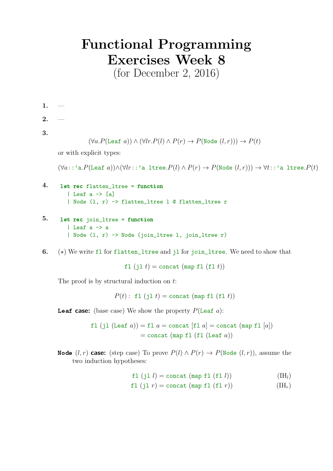## Functional Programming Exercises Week 8

(for December 2, 2016)

1. —

- $2.$
- 3.

$$
(\forall a. P(\texttt{Leaf}\ a)) \land (\forall lr. P(l) \land P(r) \rightarrow P(\texttt{Node}\ (l,r))) \rightarrow P(t)
$$

or with explicit types:

 $(\forall a: :' \text{a}.P(\text{Leaf } a)) \land (\forall lr: :' \text{a } \text{Itree}.P(l) \land P(r) \rightarrow P(\text{Node } (l,r))) \rightarrow \forall t: :' \text{a } \text{Itree}.P(t)$ 

```
4. let rec flatten_ltree = function
| Leaf a \rightarrow [a]| Node (l, r) -> flatten_ltree l @ flatten_ltree r
```
- 5. let rec join\_ltree = function | Leaf a -> a | Node (l, r) -> Node (join\_ltree l, join\_ltree r)
- 6.  $(\star)$  We write fl for flatten\_ltree and jl for join\_ltree. We need to show that

fl  $(i1 t) =$ concat (map fl  $(f1 t)$ )

The proof is by structural induction on  $t$ :

 $P(t)$ : fl  $(jl t)$  = concat (map fl  $(fl t)$ )

**Leaf case:** (base case) We show the property  $P(\text{Leaf } a)$ :

fl (jl (Leaf  $a$ )) = fl  $a$  = concat [fl  $a$ ] = concat (map fl  $[a]$ )  $=$  concat (map fl (fl (Leaf a))

**Node**  $(l, r)$  case: (step case) To prove  $P(l) \wedge P(r) \rightarrow P(\text{Node } (l, r))$ , assume the two induction hypotheses:

fl  $(jl \; l)$  = concat (map fl  $(fl \; l)$ ) (IH<sub>l</sub>)

$$
f1 (j1 r) = \text{concat (map f1 (f1 r))} \tag{IH}
$$